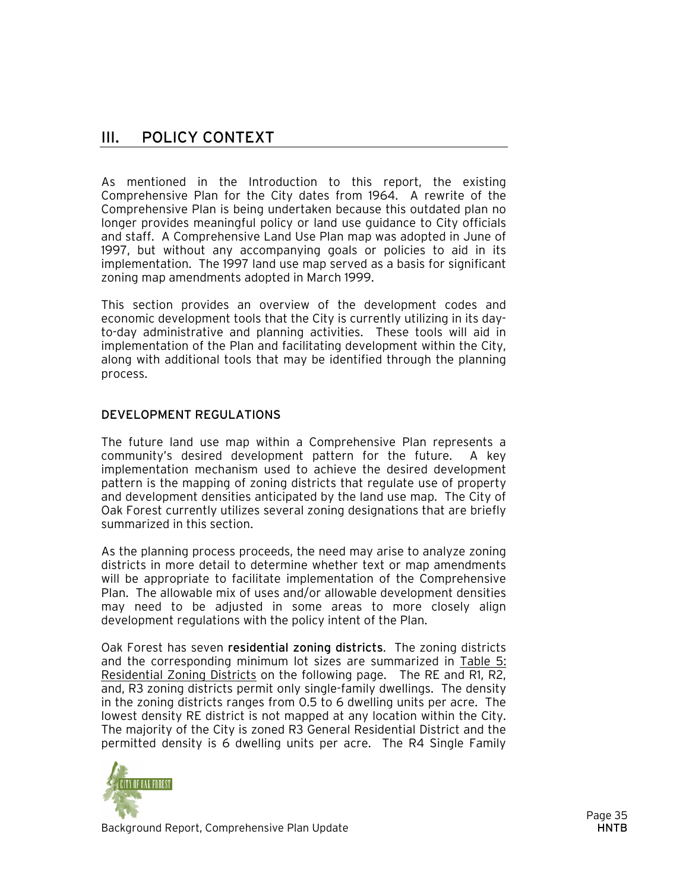# III. POLICY CONTEXT

As mentioned in the Introduction to this report, the existing Comprehensive Plan for the City dates from 1964. A rewrite of the Comprehensive Plan is being undertaken because this outdated plan no longer provides meaningful policy or land use guidance to City officials and staff. A Comprehensive Land Use Plan map was adopted in June of 1997, but without any accompanying goals or policies to aid in its implementation. The 1997 land use map served as a basis for significant zoning map amendments adopted in March 1999.

This section provides an overview of the development codes and economic development tools that the City is currently utilizing in its dayto-day administrative and planning activities. These tools will aid in implementation of the Plan and facilitating development within the City, along with additional tools that may be identified through the planning process.

# DEVELOPMENT REGULATIONS

The future land use map within a Comprehensive Plan represents a community's desired development pattern for the future. A key implementation mechanism used to achieve the desired development pattern is the mapping of zoning districts that regulate use of property and development densities anticipated by the land use map. The City of Oak Forest currently utilizes several zoning designations that are briefly summarized in this section.

As the planning process proceeds, the need may arise to analyze zoning districts in more detail to determine whether text or map amendments will be appropriate to facilitate implementation of the Comprehensive Plan. The allowable mix of uses and/or allowable development densities may need to be adjusted in some areas to more closely align development regulations with the policy intent of the Plan.

Oak Forest has seven residential zoning districts. The zoning districts and the corresponding minimum lot sizes are summarized in Table 5: Residential Zoning Districts on the following page. The RE and R1, R2, and, R3 zoning districts permit only single-family dwellings. The density in the zoning districts ranges from 0.5 to 6 dwelling units per acre. The lowest density RE district is not mapped at any location within the City. The majority of the City is zoned R3 General Residential District and the permitted density is 6 dwelling units per acre. The R4 Single Family

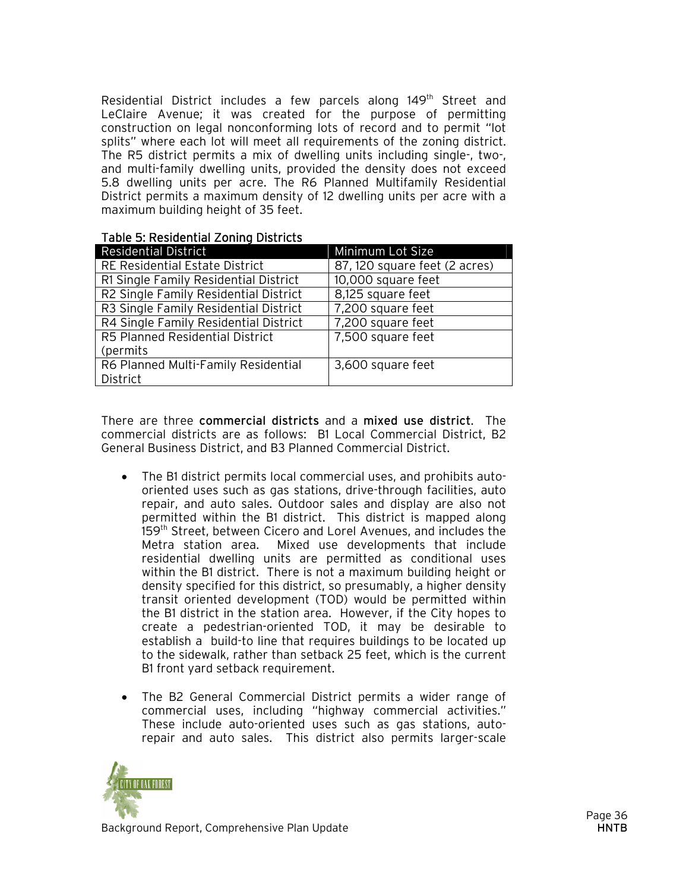Residential District includes a few parcels along 149<sup>th</sup> Street and LeClaire Avenue; it was created for the purpose of permitting construction on legal nonconforming lots of record and to permit "lot splits" where each lot will meet all requirements of the zoning district. The R5 district permits a mix of dwelling units including single-, two-, and multi-family dwelling units, provided the density does not exceed 5.8 dwelling units per acre. The R6 Planned Multifamily Residential District permits a maximum density of 12 dwelling units per acre with a maximum building height of 35 feet.

# Table 5: Residential Zoning Districts

| <b>Residential District</b>           | Minimum Lot Size              |
|---------------------------------------|-------------------------------|
| RE Residential Estate District        | 87, 120 square feet (2 acres) |
| R1 Single Family Residential District | 10,000 square feet            |
| R2 Single Family Residential District | 8,125 square feet             |
| R3 Single Family Residential District | 7,200 square feet             |
| R4 Single Family Residential District | 7,200 square feet             |
| R5 Planned Residential District       | 7,500 square feet             |
| (permits                              |                               |
| R6 Planned Multi-Family Residential   | 3,600 square feet             |
| District                              |                               |

There are three commercial districts and a mixed use district. The commercial districts are as follows: B1 Local Commercial District, B2 General Business District, and B3 Planned Commercial District.

- The B1 district permits local commercial uses, and prohibits autooriented uses such as gas stations, drive-through facilities, auto repair, and auto sales. Outdoor sales and display are also not permitted within the B1 district. This district is mapped along 159<sup>th</sup> Street, between Cicero and Lorel Avenues, and includes the Metra station area. Mixed use developments that include residential dwelling units are permitted as conditional uses within the B1 district. There is not a maximum building height or density specified for this district, so presumably, a higher density transit oriented development (TOD) would be permitted within the B1 district in the station area. However, if the City hopes to create a pedestrian-oriented TOD, it may be desirable to establish a build-to line that requires buildings to be located up to the sidewalk, rather than setback 25 feet, which is the current B1 front yard setback requirement.
- The B2 General Commercial District permits a wider range of commercial uses, including "highway commercial activities." These include auto-oriented uses such as gas stations, autorepair and auto sales. This district also permits larger-scale

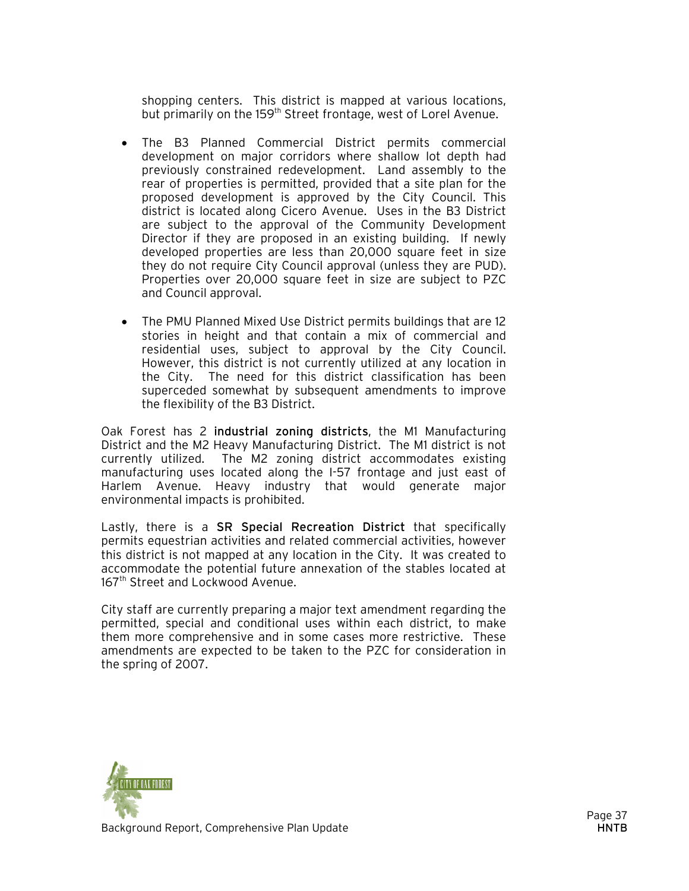shopping centers. This district is mapped at various locations, but primarily on the 159<sup>th</sup> Street frontage, west of Lorel Avenue.

- The B3 Planned Commercial District permits commercial development on major corridors where shallow lot depth had previously constrained redevelopment. Land assembly to the rear of properties is permitted, provided that a site plan for the proposed development is approved by the City Council. This district is located along Cicero Avenue. Uses in the B3 District are subject to the approval of the Community Development Director if they are proposed in an existing building. If newly developed properties are less than 20,000 square feet in size they do not require City Council approval (unless they are PUD). Properties over 20,000 square feet in size are subject to PZC and Council approval.
- The PMU Planned Mixed Use District permits buildings that are 12 stories in height and that contain a mix of commercial and residential uses, subject to approval by the City Council. However, this district is not currently utilized at any location in the City. The need for this district classification has been superceded somewhat by subsequent amendments to improve the flexibility of the B3 District.

Oak Forest has 2 industrial zoning districts, the M1 Manufacturing District and the M2 Heavy Manufacturing District. The M1 district is not currently utilized. The M2 zoning district accommodates existing manufacturing uses located along the I-57 frontage and just east of Harlem Avenue. Heavy industry that would generate major environmental impacts is prohibited.

Lastly, there is a SR Special Recreation District that specifically permits equestrian activities and related commercial activities, however this district is not mapped at any location in the City. It was created to accommodate the potential future annexation of the stables located at 167<sup>th</sup> Street and Lockwood Avenue.

City staff are currently preparing a major text amendment regarding the permitted, special and conditional uses within each district, to make them more comprehensive and in some cases more restrictive. These amendments are expected to be taken to the PZC for consideration in the spring of 2007.

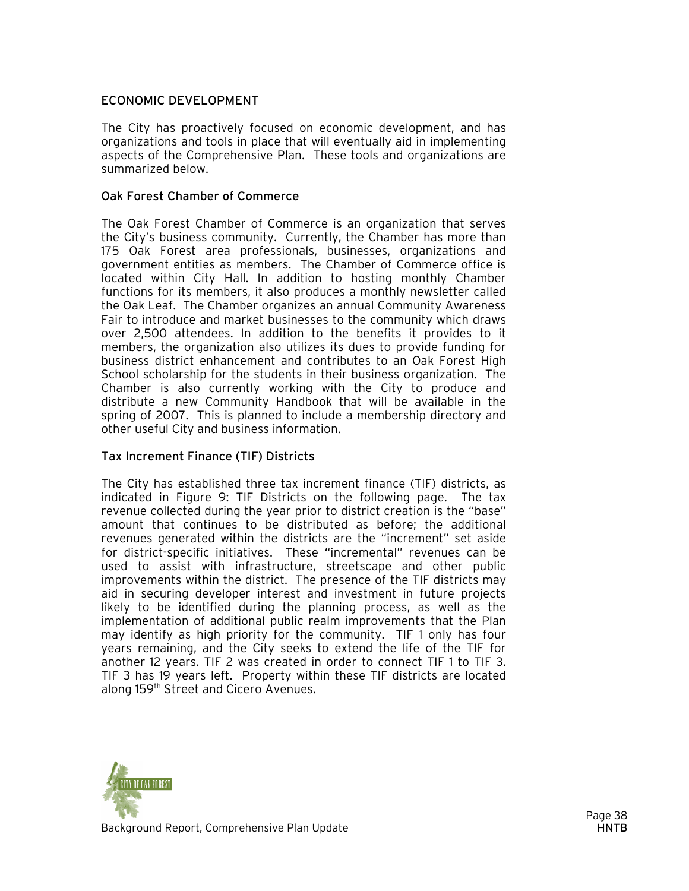# ECONOMIC DEVELOPMENT

The City has proactively focused on economic development, and has organizations and tools in place that will eventually aid in implementing aspects of the Comprehensive Plan. These tools and organizations are summarized below.

#### Oak Forest Chamber of Commerce

The Oak Forest Chamber of Commerce is an organization that serves the City's business community. Currently, the Chamber has more than 175 Oak Forest area professionals, businesses, organizations and government entities as members. The Chamber of Commerce office is located within City Hall. In addition to hosting monthly Chamber functions for its members, it also produces a monthly newsletter called the Oak Leaf. The Chamber organizes an annual Community Awareness Fair to introduce and market businesses to the community which draws over 2,500 attendees. In addition to the benefits it provides to it members, the organization also utilizes its dues to provide funding for business district enhancement and contributes to an Oak Forest High School scholarship for the students in their business organization. The Chamber is also currently working with the City to produce and distribute a new Community Handbook that will be available in the spring of 2007. This is planned to include a membership directory and other useful City and business information.

# Tax Increment Finance (TIF) Districts

The City has established three tax increment finance (TIF) districts, as indicated in Figure 9: TIF Districts on the following page. The tax revenue collected during the year prior to district creation is the "base" amount that continues to be distributed as before; the additional revenues generated within the districts are the "increment" set aside for district-specific initiatives. These "incremental" revenues can be used to assist with infrastructure, streetscape and other public improvements within the district. The presence of the TIF districts may aid in securing developer interest and investment in future projects likely to be identified during the planning process, as well as the implementation of additional public realm improvements that the Plan may identify as high priority for the community. TIF 1 only has four years remaining, and the City seeks to extend the life of the TIF for another 12 years. TIF 2 was created in order to connect TIF 1 to TIF 3. TIF 3 has 19 years left. Property within these TIF districts are located along 159<sup>th</sup> Street and Cicero Avenues.

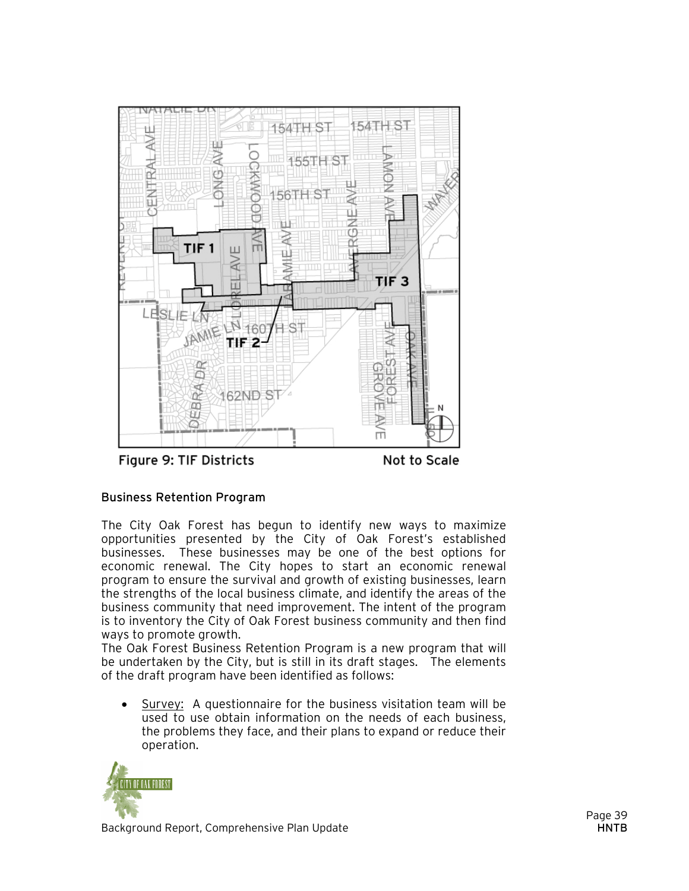

Figure 9: TIF Districts

Not to Scale

# Business Retention Program

The City Oak Forest has begun to identify new ways to maximize opportunities presented by the City of Oak Forest's established businesses. These businesses may be one of the best options for economic renewal. The City hopes to start an economic renewal program to ensure the survival and growth of existing businesses, learn the strengths of the local business climate, and identify the areas of the business community that need improvement. The intent of the program is to inventory the City of Oak Forest business community and then find ways to promote growth.

The Oak Forest Business Retention Program is a new program that will be undertaken by the City, but is still in its draft stages. The elements of the draft program have been identified as follows:

• Survey: A questionnaire for the business visitation team will be used to use obtain information on the needs of each business, the problems they face, and their plans to expand or reduce their operation.